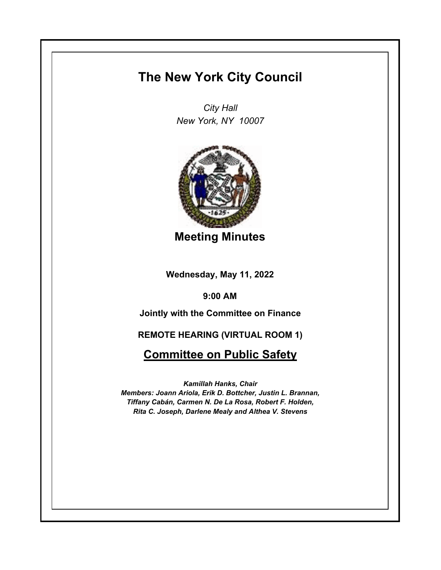## **The New York City Council**

*City Hall New York, NY 10007*



**Meeting Minutes**

**Wednesday, May 11, 2022**

**9:00 AM**

**Jointly with the Committee on Finance**

**REMOTE HEARING (VIRTUAL ROOM 1)**

**Committee on Public Safety**

*Kamillah Hanks, Chair Members: Joann Ariola, Erik D. Bottcher, Justin L. Brannan, Tiffany Cabán, Carmen N. De La Rosa, Robert F. Holden, Rita C. Joseph, Darlene Mealy and Althea V. Stevens*